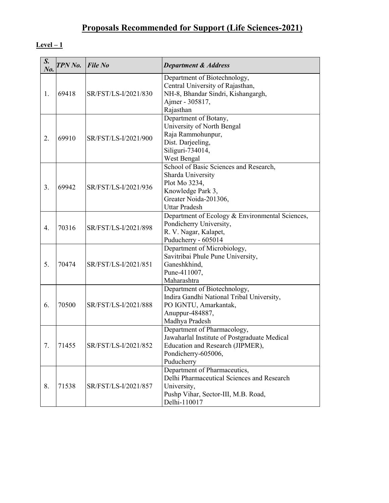# Proposals Recommended for Support (Life Sciences-2021)

| S.<br>No.      | <b>TPN No.</b> | $File$ No            | <b>Department &amp; Address</b>                                                                                                                      |
|----------------|----------------|----------------------|------------------------------------------------------------------------------------------------------------------------------------------------------|
| 1.             | 69418          | SR/FST/LS-I/2021/830 | Department of Biotechnology,<br>Central University of Rajasthan,<br>NH-8, Bhandar Sindri, Kishangargh,<br>Ajmer - 305817,<br>Rajasthan               |
| 2.             | 69910          | SR/FST/LS-I/2021/900 | Department of Botany,<br>University of North Bengal<br>Raja Rammohunpur,<br>Dist. Darjeeling,<br>Siliguri-734014,<br>West Bengal                     |
| 3 <sub>1</sub> | 69942          | SR/FST/LS-I/2021/936 | School of Basic Sciences and Research,<br>Sharda University<br>Plot Mo 3234,<br>Knowledge Park 3,<br>Greater Noida-201306,<br><b>Uttar Pradesh</b>   |
| 4.             | 70316          | SR/FST/LS-I/2021/898 | Department of Ecology & Environmental Sciences,<br>Pondicherry University,<br>R. V. Nagar, Kalapet,<br>Puducherry - 605014                           |
| 5.             | 70474          | SR/FST/LS-I/2021/851 | Department of Microbiology,<br>Savitribai Phule Pune University,<br>Ganeshkhind,<br>Pune-411007,<br>Maharashtra                                      |
| 6.             | 70500          | SR/FST/LS-I/2021/888 | Department of Biotechnology,<br>Indira Gandhi National Tribal University,<br>PO IGNTU, Amarkantak,<br>Anuppur-484887,<br>Madhya Pradesh              |
| 7.             | 71455          | SR/FST/LS-I/2021/852 | Department of Pharmacology,<br>Jawaharlal Institute of Postgraduate Medical<br>Education and Research (JIPMER),<br>Pondicherry-605006,<br>Puducherry |
| 8.             | 71538          | SR/FST/LS-I/2021/857 | Department of Pharmaceutics,<br>Delhi Pharmaceutical Sciences and Research<br>University,<br>Pushp Vihar, Sector-III, M.B. Road,<br>Delhi-110017     |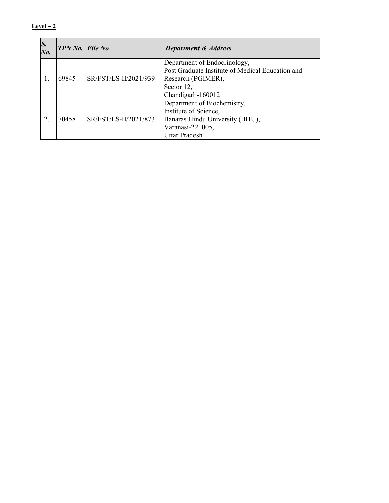| S.<br>$N_{0}$ . | $TPN$ No. File No |                       | <b>Department &amp; Address</b>                                                                                                     |
|-----------------|-------------------|-----------------------|-------------------------------------------------------------------------------------------------------------------------------------|
| 1.              | 69845             | SR/FST/LS-II/2021/939 | Department of Endocrinology,<br>Post Graduate Institute of Medical Education and<br>Research (PGIMER),<br>Sector 12,                |
|                 |                   |                       | Chandigarh-160012                                                                                                                   |
| 2               | 70458             | SR/FST/LS-II/2021/873 | Department of Biochemistry,<br>Institute of Science,<br>Banaras Hindu University (BHU),<br>Varanasi-221005,<br><b>Uttar Pradesh</b> |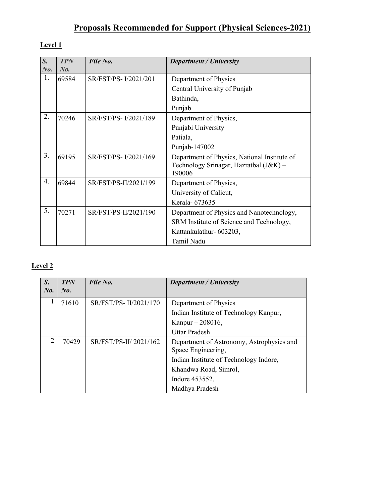# Proposals Recommended for Support (Physical Sciences-2021)

#### Level 1

| $S_{\cdot}$<br>$N_{0}$ . | <b>TPN</b><br>No. | File No.              | <b>Department / University</b>                                                                   |
|--------------------------|-------------------|-----------------------|--------------------------------------------------------------------------------------------------|
| 1.                       | 69584             | SR/FST/PS-I/2021/201  | Department of Physics                                                                            |
|                          |                   |                       | Central University of Punjab                                                                     |
|                          |                   |                       | Bathinda,                                                                                        |
|                          |                   |                       | Punjab                                                                                           |
| 2.                       | 70246             | SR/FST/PS-I/2021/189  | Department of Physics,                                                                           |
|                          |                   |                       | Punjabi University                                                                               |
|                          |                   |                       | Patiala,                                                                                         |
|                          |                   |                       | Punjab-147002                                                                                    |
| 3 <sub>1</sub>           | 69195             | SR/FST/PS-I/2021/169  | Department of Physics, National Institute of<br>Technology Srinagar, Hazratbal (J&K) -<br>190006 |
| $\overline{4}$ .         | 69844             | SR/FST/PS-II/2021/199 | Department of Physics,                                                                           |
|                          |                   |                       | University of Calicut,                                                                           |
|                          |                   |                       | Kerala- 673635                                                                                   |
| 5.                       | 70271             | SR/FST/PS-II/2021/190 | Department of Physics and Nanotechnology,                                                        |
|                          |                   |                       | SRM Institute of Science and Technology,                                                         |
|                          |                   |                       | Kattankulathur- 603203,                                                                          |
|                          |                   |                       | Tamil Nadu                                                                                       |

| S.<br>$N_{0}$  | <b>TPN</b><br>No. | File No.              | Department / University                                                                                   |
|----------------|-------------------|-----------------------|-----------------------------------------------------------------------------------------------------------|
|                | 71610             | SR/FST/PS-II/2021/170 | Department of Physics<br>Indian Institute of Technology Kanpur,                                           |
|                |                   |                       | Kanpur $-208016$ ,<br><b>Uttar Pradesh</b>                                                                |
| $\overline{2}$ | 70429             | SR/FST/PS-II/2021/162 | Department of Astronomy, Astrophysics and<br>Space Engineering,<br>Indian Institute of Technology Indore, |
|                |                   |                       | Khandwa Road, Simrol,                                                                                     |
|                |                   |                       | Indore 453552,                                                                                            |
|                |                   |                       | Madhya Pradesh                                                                                            |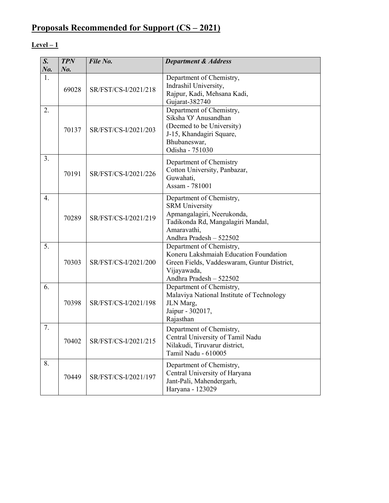# Proposals Recommended for Support (CS – 2021)

| $\overline{S}$ . | <b>TPN</b> | File No.             | <b>Department &amp; Address</b>                                                                                                                                |
|------------------|------------|----------------------|----------------------------------------------------------------------------------------------------------------------------------------------------------------|
| No.              | $N0$ .     |                      |                                                                                                                                                                |
| 1.               | 69028      | SR/FST/CS-I/2021/218 | Department of Chemistry,<br>Indrashil University,<br>Rajpur, Kadi, Mehsana Kadi,<br>Gujarat-382740                                                             |
| 2.               | 70137      | SR/FST/CS-I/2021/203 | Department of Chemistry,<br>Siksha 'O' Anusandhan<br>(Deemed to be University)<br>J-15, Khandagiri Square,<br>Bhubaneswar,<br>Odisha - 751030                  |
| 3.               | 70191      | SR/FST/CS-I/2021/226 | Department of Chemistry<br>Cotton University, Panbazar,<br>Guwahati,<br>Assam - 781001                                                                         |
| $\overline{4}$ . | 70289      | SR/FST/CS-I/2021/219 | Department of Chemistry,<br><b>SRM</b> University<br>Apmangalagiri, Neerukonda,<br>Tadikonda Rd, Mangalagiri Mandal,<br>Amaravathi,<br>Andhra Pradesh - 522502 |
| 5.               | 70303      | SR/FST/CS-I/2021/200 | Department of Chemistry,<br>Koneru Lakshmaiah Education Foundation<br>Green Fields, Vaddeswaram, Guntur District,<br>Vijayawada,<br>Andhra Pradesh - 522502    |
| 6.               | 70398      | SR/FST/CS-I/2021/198 | Department of Chemistry,<br>Malaviya National Institute of Technology<br>JLN Marg,<br>Jaipur - 302017,<br>Rajasthan                                            |
| 7.               | 70402      | SR/FST/CS-I/2021/215 | Department of Chemistry,<br>Central University of Tamil Nadu<br>Nilakudi, Tiruvarur district,<br>Tamil Nadu - 610005                                           |
| 8.               | 70449      | SR/FST/CS-I/2021/197 | Department of Chemistry,<br>Central University of Haryana<br>Jant-Pali, Mahendergarh,<br>Haryana - 123029                                                      |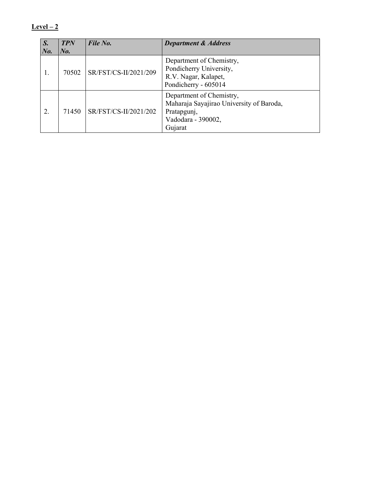| S.      | <b>TPN</b> | File No.              | <b>Department &amp; Address</b>                                                                                      |
|---------|------------|-----------------------|----------------------------------------------------------------------------------------------------------------------|
| $N_{0}$ | $N_{0.}$   |                       |                                                                                                                      |
|         | 70502      | SR/FST/CS-II/2021/209 | Department of Chemistry,<br>Pondicherry University,<br>R.V. Nagar, Kalapet,<br>Pondicherry - 605014                  |
| 2.      | 71450      | SR/FST/CS-II/2021/202 | Department of Chemistry,<br>Maharaja Sayajirao University of Baroda,<br>Pratapgunj,<br>Vadodara - 390002,<br>Gujarat |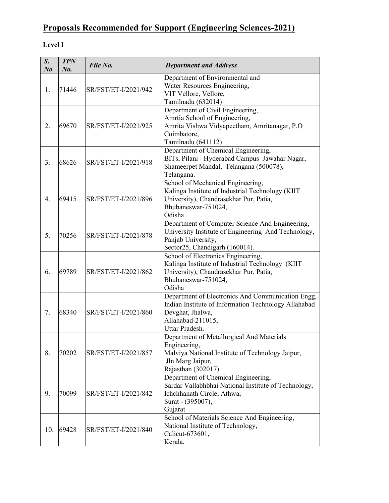# Proposals Recommended for Support (Engineering Sciences-2021)

### Level I

| S.<br>N <sub>o</sub> | <b>TPN</b><br>$N_{0}$ . | File No.             | <b>Department and Address</b>                                                                                                                                        |
|----------------------|-------------------------|----------------------|----------------------------------------------------------------------------------------------------------------------------------------------------------------------|
| 1.                   | 71446                   | SR/FST/ET-I/2021/942 | Department of Environmental and<br>Water Resources Engineering,<br>VIT Vellore, Vellore,<br>Tamilnadu (632014)                                                       |
| 2.                   | 69670                   | SR/FST/ET-I/2021/925 | Department of Civil Engineering,<br>Amrtia School of Engineering,<br>Amrita Vishwa Vidyapeetham, Amritanagar, P.O.<br>Coimbatore,<br>Tamilnadu (641112)              |
| 3 <sub>1</sub>       | 68626                   | SR/FST/ET-I/2021/918 | Department of Chemical Engineering,<br>BITs, Pilani - Hyderabad Campus Jawahar Nagar,<br>Shameerpet Mandal, Telangana (500078),<br>Telangana.                        |
| 4.                   | 69415                   | SR/FST/ET-I/2021/896 | School of Mechanical Engineering,<br>Kalinga Institute of Industrial Technology (KIIT<br>University), Chandrasekhar Pur, Patia,<br>Bhubaneswar-751024,<br>Odisha     |
| 5.                   | 70256                   | SR/FST/ET-I/2021/878 | Department of Computer Science And Engineering,<br>University Institute of Engineering And Technology,<br>Panjab University,<br>Sector25, Chandigarh (160014).       |
| 6.                   | 69789                   | SR/FST/ET-I/2021/862 | School of Electronics Engineering,<br>Kalinga Institute of Industrial Technology (KIIT<br>University), Chandrasekhar Pur, Patia,<br>Bhubaneswar-751024,<br>Odisha    |
| 7.                   | 68340                   | SR/FST/ET-I/2021/860 | Department of Electronics And Communication Engg,<br>Indian Institute of Information Technology Allahabad<br>Devghat, Jhalwa,<br>Allahabad-211015,<br>Uttar Pradesh. |
| 8.                   | 70202                   | SR/FST/ET-I/2021/857 | Department of Metallurgical And Materials<br>Engineering,<br>Malviya National Institute of Technology Jaipur,<br>Jln Marg Jaipur,<br>Rajasthan (302017)              |
| 9.                   | 70099                   | SR/FST/ET-I/2021/842 | Department of Chemical Engineering,<br>Sardar Vallabhbhai National Institute of Technology,<br>Ichchhanath Circle, Athwa,<br>Surat - (395007),<br>Gujarat            |
| 10.                  | 69428                   | SR/FST/ET-I/2021/840 | School of Materials Science And Engineering,<br>National Institute of Technology,<br>Calicut-673601,<br>Kerala.                                                      |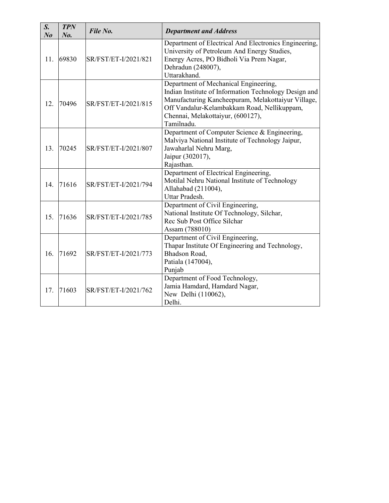| $S_{\cdot}$<br>N <sub>o</sub> | <b>TPN</b><br>No. | File No.             | <b>Department and Address</b>                                                                                                                                                                                                                          |
|-------------------------------|-------------------|----------------------|--------------------------------------------------------------------------------------------------------------------------------------------------------------------------------------------------------------------------------------------------------|
| 11.                           | 69830             | SR/FST/ET-I/2021/821 | Department of Electrical And Electronics Engineering,<br>University of Petroleum And Energy Studies,<br>Energy Acres, PO Bidholi Via Prem Nagar,<br>Dehradun (248007),<br>Uttarakhand.                                                                 |
| 12.                           | 70496             | SR/FST/ET-I/2021/815 | Department of Mechanical Engineering,<br>Indian Institute of Information Technology Design and<br>Manufacturing Kancheepuram, Melakottaiyur Village,<br>Off Vandalur-Kelambakkam Road, Nellikuppam,<br>Chennai, Melakottaiyur, (600127),<br>Tamilnadu. |
| 13.                           | 70245             | SR/FST/ET-I/2021/807 | Department of Computer Science & Engineering,<br>Malviya National Institute of Technology Jaipur,<br>Jawaharlal Nehru Marg,<br>Jaipur (302017),<br>Rajasthan.                                                                                          |
| 14.                           | 71616             | SR/FST/ET-I/2021/794 | Department of Electrical Engineering,<br>Motilal Nehru National Institute of Technology<br>Allahabad (211004),<br>Uttar Pradesh.                                                                                                                       |
| 15.                           | 71636             | SR/FST/ET-I/2021/785 | Department of Civil Engineering,<br>National Institute Of Technology, Silchar,<br>Rec Sub Post Office Silchar<br>Assam (788010)                                                                                                                        |
| 16.                           | 71692             | SR/FST/ET-I/2021/773 | Department of Civil Engineering,<br>Thapar Institute Of Engineering and Technology,<br>Bhadson Road,<br>Patiala (147004),<br>Punjab                                                                                                                    |
| 17.                           | 71603             | SR/FST/ET-I/2021/762 | Department of Food Technology,<br>Jamia Hamdard, Hamdard Nagar,<br>New Delhi (110062),<br>Delhi.                                                                                                                                                       |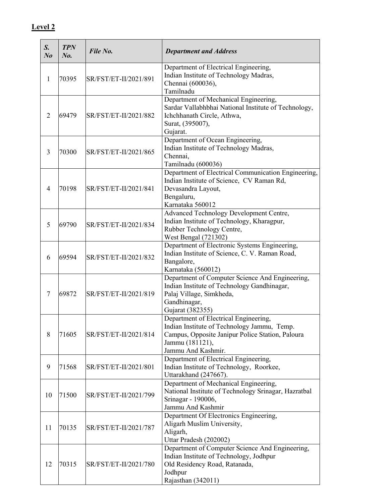| S.<br>N <sub>0</sub> | <b>TPN</b><br>$N_{0}$ . | File No.              | <b>Department and Address</b>                                                                                                                                                     |
|----------------------|-------------------------|-----------------------|-----------------------------------------------------------------------------------------------------------------------------------------------------------------------------------|
| 1                    | 70395                   | SR/FST/ET-II/2021/891 | Department of Electrical Engineering,<br>Indian Institute of Technology Madras,<br>Chennai (600036),<br>Tamilnadu                                                                 |
| 2                    | 69479                   | SR/FST/ET-II/2021/882 | Department of Mechanical Engineering,<br>Sardar Vallabhbhai National Institute of Technology,<br>Ichchhanath Circle, Athwa,<br>Surat, (395007),<br>Gujarat.                       |
| 3                    | 70300                   | SR/FST/ET-II/2021/865 | Department of Ocean Engineering,<br>Indian Institute of Technology Madras,<br>Chennai,<br>Tamilnadu (600036)                                                                      |
| $\overline{4}$       | 70198                   | SR/FST/ET-II/2021/841 | Department of Electrical Communication Engineering,<br>Indian Institute of Science, CV Raman Rd,<br>Devasandra Layout,<br>Bengaluru,<br>Karnataka 560012                          |
| 5                    | 69790                   | SR/FST/ET-II/2021/834 | Advanced Technology Development Centre,<br>Indian Institute of Technology, Kharagpur,<br>Rubber Technology Centre,<br>West Bengal (721302)                                        |
| 6                    | 69594                   | SR/FST/ET-II/2021/832 | Department of Electronic Systems Engineering,<br>Indian Institute of Science, C. V. Raman Road,<br>Bangalore,<br>Karnataka (560012)                                               |
| 7                    | 69872                   | SR/FST/ET-II/2021/819 | Department of Computer Science And Engineering,<br>Indian Institute of Technology Gandhinagar,<br>Palaj Village, Simkheda,<br>Gandhinagar,<br>Gujarat (382355)                    |
| 8                    | 71605                   | SR/FST/ET-II/2021/814 | Department of Electrical Engineering,<br>Indian Institute of Technology Jammu, Temp.<br>Campus, Opposite Janipur Police Station, Paloura<br>Jammu (181121),<br>Jammu And Kashmir. |
| 9                    | 71568                   | SR/FST/ET-II/2021/801 | Department of Electrical Engineering,<br>Indian Institute of Technology, Roorkee,<br>Uttarakhand (247667).                                                                        |
| 10                   | 71500                   | SR/FST/ET-II/2021/799 | Department of Mechanical Engineering,<br>National Institute of Technology Srinagar, Hazratbal<br>Srinagar - 190006,<br>Jammu And Kashmir                                          |
| 11                   | 70135                   | SR/FST/ET-II/2021/787 | Department Of Electronics Engineering,<br>Aligarh Muslim University,<br>Aligarh,<br>Uttar Pradesh (202002)                                                                        |
| 12                   | 70315                   | SR/FST/ET-II/2021/780 | Department of Computer Science And Engineering,<br>Indian Institute of Technology, Jodhpur<br>Old Residency Road, Ratanada,<br>Jodhpur<br>Rajasthan (342011)                      |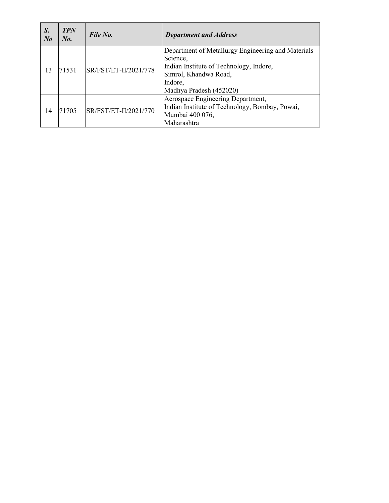| S.<br>$N_{0}$ | <b>TPN</b><br>No. | File No.              | <b>Department and Address</b>                                                                                                                                            |
|---------------|-------------------|-----------------------|--------------------------------------------------------------------------------------------------------------------------------------------------------------------------|
| 13            | 71531             | SR/FST/ET-II/2021/778 | Department of Metallurgy Engineering and Materials<br>Science,<br>Indian Institute of Technology, Indore,<br>Simrol, Khandwa Road,<br>Indore,<br>Madhya Pradesh (452020) |
| 14            | 71705             | SR/FST/ET-II/2021/770 | Aerospace Engineering Department,<br>Indian Institute of Technology, Bombay, Powai,<br>Mumbai 400 076,<br>Maharashtra                                                    |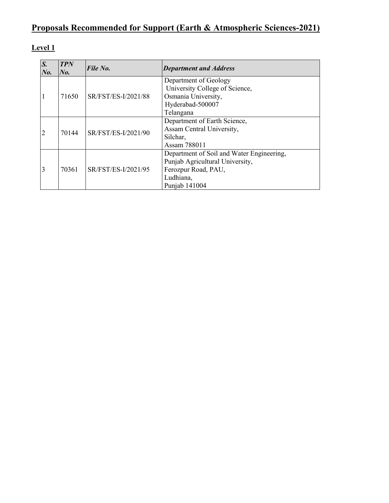# Proposals Recommended for Support (Earth & Atmospheric Sciences-2021)

| $\overline{S}$ .<br>$N_{0}$ . | <b>TPN</b><br>$N_{0.}$ | File No.            | <b>Department and Address</b>             |
|-------------------------------|------------------------|---------------------|-------------------------------------------|
|                               |                        |                     | Department of Geology                     |
|                               |                        |                     | University College of Science,            |
| $\vert$ 1                     | 71650                  | SR/FST/ES-I/2021/88 | Osmania University,                       |
|                               |                        |                     | Hyderabad-500007                          |
|                               |                        |                     | Telangana                                 |
|                               | 70144                  | SR/FST/ES-I/2021/90 | Department of Earth Science,              |
| $\overline{2}$                |                        |                     | Assam Central University,                 |
|                               |                        |                     | Silchar,                                  |
|                               |                        |                     | Assam 788011                              |
|                               |                        |                     | Department of Soil and Water Engineering, |
|                               |                        | SR/FST/ES-I/2021/95 | Punjab Agricultural University,           |
| $\overline{3}$                | 70361                  |                     | Ferozpur Road, PAU,                       |
|                               |                        |                     | Ludhiana,                                 |
|                               |                        |                     | Punjab 141004                             |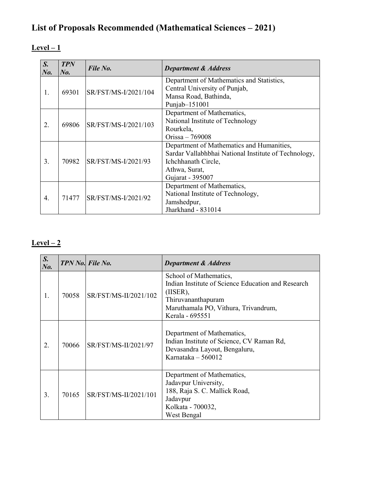# List of Proposals Recommended (Mathematical Sciences – 2021)

### $Level-1$

| $S_{\cdot}$<br>No. | <b>TPN</b><br>$N_{0}$ . | File No.             | <b>Department &amp; Address</b>                                            |
|--------------------|-------------------------|----------------------|----------------------------------------------------------------------------|
|                    |                         |                      | Department of Mathematics and Statistics,<br>Central University of Punjab, |
| 1.                 | 69301                   | SR/FST/MS-I/2021/104 | Mansa Road, Bathinda,                                                      |
|                    |                         |                      | Punjab-151001                                                              |
|                    |                         |                      | Department of Mathematics,                                                 |
| 2.                 | 69806                   | SR/FST/MS-I/2021/103 | National Institute of Technology                                           |
|                    |                         |                      | Rourkela,                                                                  |
|                    |                         |                      | Orissa $-769008$                                                           |
|                    |                         |                      | Department of Mathematics and Humanities,                                  |
|                    | 70982                   | SR/FST/MS-I/2021/93  | Sardar Vallabhbhai National Institute of Technology,                       |
| 3.                 |                         |                      | Ichchhanath Circle,                                                        |
|                    |                         |                      | Athwa, Surat,                                                              |
|                    |                         |                      | Gujarat - 395007                                                           |
| $\overline{4}$ .   |                         | SR/FST/MS-I/2021/92  | Department of Mathematics,                                                 |
|                    | 71477                   |                      | National Institute of Technology,                                          |
|                    |                         |                      | Jamshedpur,                                                                |
|                    |                         |                      | Jharkhand - 831014                                                         |

| $S_{\cdot}$<br>$N0$ . |       | TPN No. File No.      | <b>Department &amp; Address</b>                                                                                                                                              |
|-----------------------|-------|-----------------------|------------------------------------------------------------------------------------------------------------------------------------------------------------------------------|
| 1.                    | 70058 | SR/FST/MS-II/2021/102 | School of Mathematics,<br>Indian Institute of Science Education and Research<br>$(IISER)$ ,<br>Thiruvananthapuram<br>Maruthamala PO, Vithura, Trivandrum,<br>Kerala - 695551 |
| 2.                    | 70066 | SR/FST/MS-II/2021/97  | Department of Mathematics,<br>Indian Institute of Science, CV Raman Rd,<br>Devasandra Layout, Bengaluru,<br>Karnataka $-560012$                                              |
| 3.                    | 70165 | SR/FST/MS-II/2021/101 | Department of Mathematics,<br>Jadavpur University,<br>188, Raja S. C. Mallick Road,<br>Jadavpur<br>Kolkata - 700032,<br>West Bengal                                          |